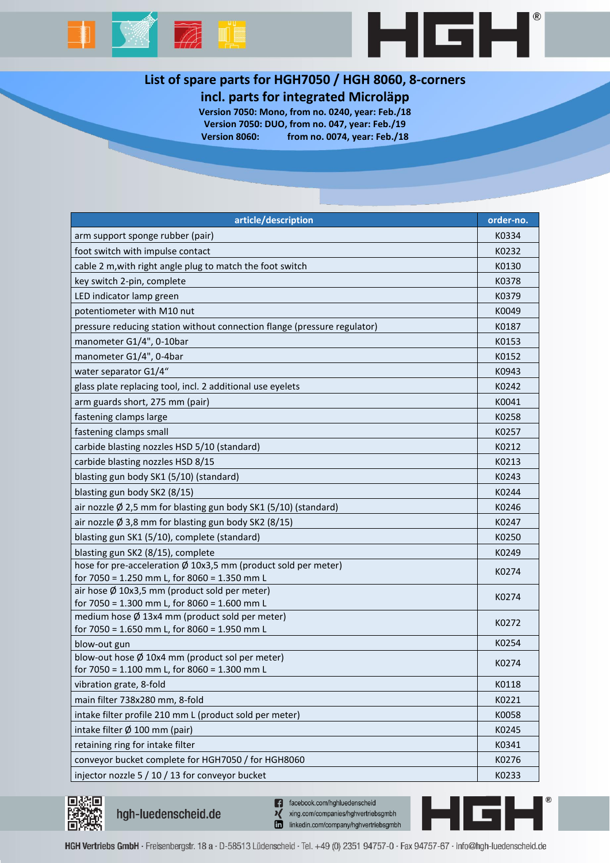



# **List of spare parts for HGH7050 / HGH 8060, 8-corners**

## **incl. parts for integrated Microläpp**

**Version 7050: Mono, from no. 0240, year: Feb./18 Version 7050: DUO, from no. 047, year: Feb./19 Version 8060: from no. 0074, year: Feb./18**

| article/description                                                                           | order-no. |
|-----------------------------------------------------------------------------------------------|-----------|
| arm support sponge rubber (pair)                                                              | K0334     |
| foot switch with impulse contact                                                              | K0232     |
| cable 2 m, with right angle plug to match the foot switch                                     | K0130     |
| key switch 2-pin, complete                                                                    | K0378     |
| LED indicator lamp green                                                                      | K0379     |
| potentiometer with M10 nut                                                                    | K0049     |
| pressure reducing station without connection flange (pressure regulator)                      | K0187     |
| manometer G1/4", 0-10bar                                                                      | K0153     |
| manometer G1/4", 0-4bar                                                                       | K0152     |
| water separator G1/4"                                                                         | K0943     |
| glass plate replacing tool, incl. 2 additional use eyelets                                    | K0242     |
| arm guards short, 275 mm (pair)                                                               | K0041     |
| fastening clamps large                                                                        | K0258     |
| fastening clamps small                                                                        | K0257     |
| carbide blasting nozzles HSD 5/10 (standard)                                                  | K0212     |
| carbide blasting nozzles HSD 8/15                                                             | K0213     |
| blasting gun body SK1 (5/10) (standard)                                                       | K0243     |
| blasting gun body SK2 (8/15)                                                                  | K0244     |
| air nozzle Ø 2,5 mm for blasting gun body SK1 (5/10) (standard)                               | K0246     |
| air nozzle $\emptyset$ 3,8 mm for blasting gun body SK2 (8/15)                                | K0247     |
| blasting gun SK1 (5/10), complete (standard)                                                  | K0250     |
| blasting gun SK2 (8/15), complete                                                             | K0249     |
| hose for pre-acceleration Ø 10x3,5 mm (product sold per meter)                                | K0274     |
| for 7050 = 1.250 mm L, for 8060 = 1.350 mm L                                                  |           |
| air hose Ø 10x3,5 mm (product sold per meter)<br>for 7050 = 1.300 mm L, for 8060 = 1.600 mm L | K0274     |
| medium hose Ø 13x4 mm (product sold per meter)                                                |           |
| for 7050 = 1.650 mm L, for 8060 = 1.950 mm L                                                  | K0272     |
| blow-out gun                                                                                  | K0254     |
| blow-out hose $\emptyset$ 10x4 mm (product sol per meter)                                     | K0274     |
| for 7050 = 1.100 mm L, for 8060 = 1.300 mm L                                                  |           |
| vibration grate, 8-fold                                                                       | K0118     |
| main filter 738x280 mm, 8-fold                                                                | K0221     |
| intake filter profile 210 mm L (product sold per meter)                                       | K0058     |
| intake filter Ø 100 mm (pair)                                                                 | K0245     |
| retaining ring for intake filter                                                              | K0341     |
| conveyor bucket complete for HGH7050 / for HGH8060                                            | K0276     |
| injector nozzle 5 / 10 / 13 for conveyor bucket                                               | K0233     |



hgh-luedenscheid.de

n facebook.com/hghluedenscheid xing.com/companies/hghvertriebsgmbh linkedin.com/company/hghvertriebsgmbh

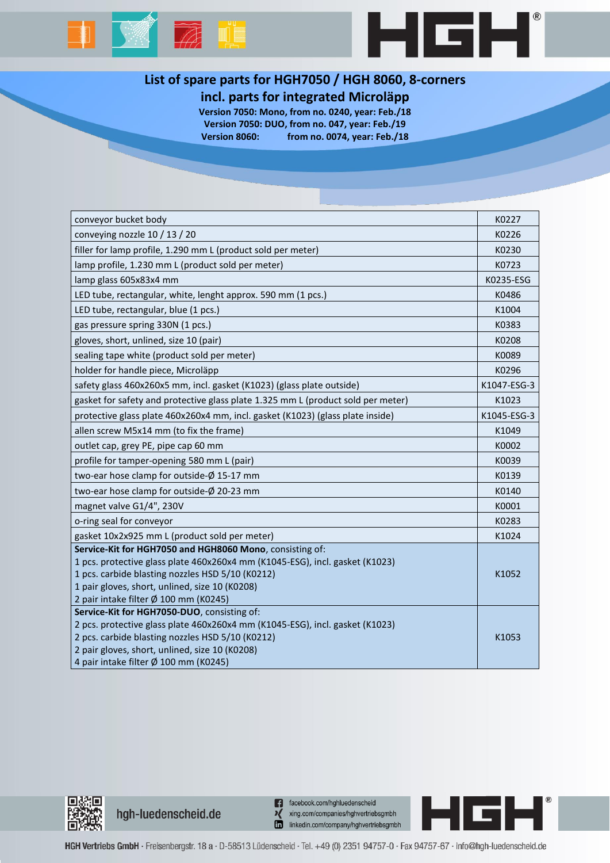



## **List of spare parts for HGH7050 / HGH 8060, 8-corners**

## **incl. parts for integrated Microläpp**

**Version 7050: Mono, from no. 0240, year: Feb./18 Version 7050: DUO, from no. 047, year: Feb./19 Version 8060: from no. 0074, year: Feb./18**

| conveyor bucket body                                                             | K0227       |
|----------------------------------------------------------------------------------|-------------|
| conveying nozzle 10 / 13 / 20                                                    | K0226       |
| filler for lamp profile, 1.290 mm L (product sold per meter)                     | K0230       |
| lamp profile, 1.230 mm L (product sold per meter)                                | K0723       |
| lamp glass 605x83x4 mm                                                           | K0235-ESG   |
| LED tube, rectangular, white, lenght approx. 590 mm (1 pcs.)                     | K0486       |
| LED tube, rectangular, blue (1 pcs.)                                             | K1004       |
| gas pressure spring 330N (1 pcs.)                                                | K0383       |
| gloves, short, unlined, size 10 (pair)                                           | K0208       |
| sealing tape white (product sold per meter)                                      | K0089       |
| holder for handle piece, Microläpp                                               | K0296       |
| safety glass 460x260x5 mm, incl. gasket (K1023) (glass plate outside)            | K1047-ESG-3 |
| gasket for safety and protective glass plate 1.325 mm L (product sold per meter) | K1023       |
| protective glass plate 460x260x4 mm, incl. gasket (K1023) (glass plate inside)   | K1045-ESG-3 |
| allen screw M5x14 mm (to fix the frame)                                          | K1049       |
| outlet cap, grey PE, pipe cap 60 mm                                              | K0002       |
| profile for tamper-opening 580 mm L (pair)                                       | K0039       |
| two-ear hose clamp for outside-Ø 15-17 mm                                        | K0139       |
| two-ear hose clamp for outside-Ø 20-23 mm                                        | K0140       |
| magnet valve G1/4", 230V                                                         | K0001       |
| o-ring seal for conveyor                                                         | K0283       |
| gasket 10x2x925 mm L (product sold per meter)                                    | K1024       |
| Service-Kit for HGH7050 and HGH8060 Mono, consisting of:                         |             |
| 1 pcs. protective glass plate 460x260x4 mm (K1045-ESG), incl. gasket (K1023)     |             |
| 1 pcs. carbide blasting nozzles HSD 5/10 (K0212)                                 | K1052       |
| 1 pair gloves, short, unlined, size 10 (K0208)                                   |             |
| 2 pair intake filter Ø 100 mm (K0245)                                            |             |
| Service-Kit for HGH7050-DUO, consisting of:                                      |             |
| 2 pcs. protective glass plate 460x260x4 mm (K1045-ESG), incl. gasket (K1023)     |             |
| 2 pcs. carbide blasting nozzles HSD 5/10 (K0212)                                 | K1053       |
| 2 pair gloves, short, unlined, size 10 (K0208)                                   |             |
| 4 pair intake filter Ø 100 mm (K0245)                                            |             |



hgh-luedenscheid.de

n facebook.com/hghluedenscheid xing.com/companies/hghvertriebsgmbh linkedin.com/company/hghvertriebsgmbh